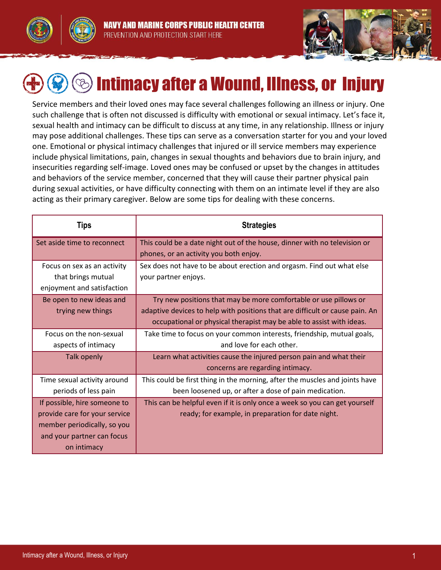



# Intimacy after a Wound, Illness, or Injury

Service members and their loved ones may face several challenges following an illness or injury. One such challenge that is often not discussed is difficulty with emotional or sexual intimacy. Let's face it, sexual health and intimacy can be difficult to discuss at any time, in any relationship. Illness or injury may pose additional challenges. These tips can serve as a conversation starter for you and your loved one. Emotional or physical intimacy challenges that injured or ill service members may experience include physical limitations, pain, changes in sexual thoughts and behaviors due to brain injury, and insecurities regarding self-image. Loved ones may be confused or upset by the changes in attitudes and behaviors of the service member, concerned that they will cause their partner physical pain during sexual activities, or have difficulty connecting with them on an intimate level if they are also acting as their primary caregiver. Below are some tips for dealing with these concerns.

| <b>Tips</b>                                                                                                                               | <b>Strategies</b>                                                                                                                                                                                                        |
|-------------------------------------------------------------------------------------------------------------------------------------------|--------------------------------------------------------------------------------------------------------------------------------------------------------------------------------------------------------------------------|
| Set aside time to reconnect                                                                                                               | This could be a date night out of the house, dinner with no television or<br>phones, or an activity you both enjoy.                                                                                                      |
| Focus on sex as an activity<br>that brings mutual<br>enjoyment and satisfaction                                                           | Sex does not have to be about erection and orgasm. Find out what else<br>your partner enjoys.                                                                                                                            |
| Be open to new ideas and<br>trying new things                                                                                             | Try new positions that may be more comfortable or use pillows or<br>adaptive devices to help with positions that are difficult or cause pain. An<br>occupational or physical therapist may be able to assist with ideas. |
| Focus on the non-sexual<br>aspects of intimacy                                                                                            | Take time to focus on your common interests, friendship, mutual goals,<br>and love for each other.                                                                                                                       |
| <b>Talk openly</b>                                                                                                                        | Learn what activities cause the injured person pain and what their<br>concerns are regarding intimacy.                                                                                                                   |
| Time sexual activity around<br>periods of less pain                                                                                       | This could be first thing in the morning, after the muscles and joints have<br>been loosened up, or after a dose of pain medication.                                                                                     |
| If possible, hire someone to<br>provide care for your service<br>member periodically, so you<br>and your partner can focus<br>on intimacy | This can be helpful even if it is only once a week so you can get yourself<br>ready; for example, in preparation for date night.                                                                                         |